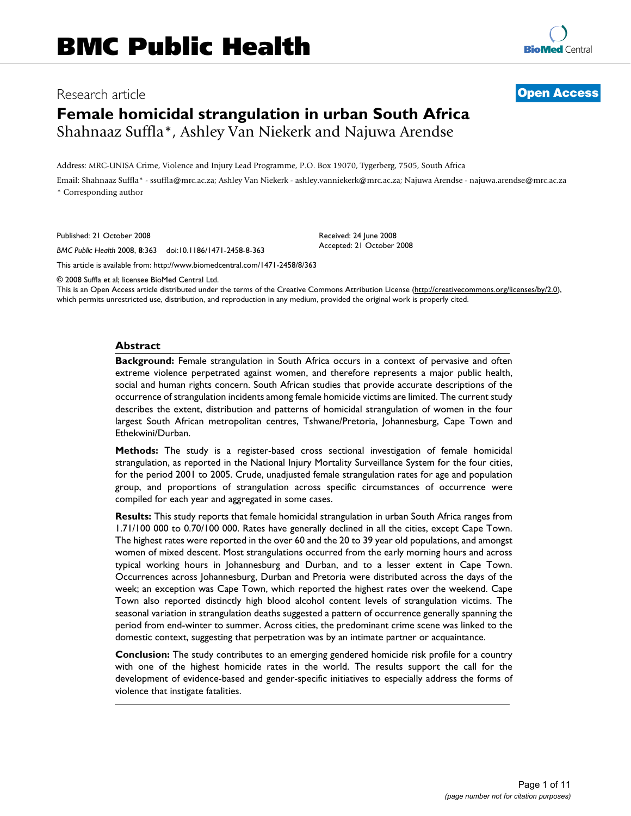## Research article **[Open Access](http://www.biomedcentral.com/info/about/charter/)**

# **Female homicidal strangulation in urban South Africa** Shahnaaz Suffla\*, Ashley Van Niekerk and Najuwa Arendse

Address: MRC-UNISA Crime, Violence and Injury Lead Programme, P.O. Box 19070, Tygerberg, 7505, South Africa

Email: Shahnaaz Suffla\* - ssuffla@mrc.ac.za; Ashley Van Niekerk - ashley.vanniekerk@mrc.ac.za; Najuwa Arendse - najuwa.arendse@mrc.ac.za \* Corresponding author

> Received: 24 June 2008 Accepted: 21 October 2008

Published: 21 October 2008

*BMC Public Health* 2008, **8**:363 doi:10.1186/1471-2458-8-363

[This article is available from: http://www.biomedcentral.com/1471-2458/8/363](http://www.biomedcentral.com/1471-2458/8/363)

© 2008 Suffla et al; licensee BioMed Central Ltd.

This is an Open Access article distributed under the terms of the Creative Commons Attribution License [\(http://creativecommons.org/licenses/by/2.0\)](http://creativecommons.org/licenses/by/2.0), which permits unrestricted use, distribution, and reproduction in any medium, provided the original work is properly cited.

#### **Abstract**

**Background:** Female strangulation in South Africa occurs in a context of pervasive and often extreme violence perpetrated against women, and therefore represents a major public health, social and human rights concern. South African studies that provide accurate descriptions of the occurrence of strangulation incidents among female homicide victims are limited. The current study describes the extent, distribution and patterns of homicidal strangulation of women in the four largest South African metropolitan centres, Tshwane/Pretoria, Johannesburg, Cape Town and Ethekwini/Durban.

**Methods:** The study is a register-based cross sectional investigation of female homicidal strangulation, as reported in the National Injury Mortality Surveillance System for the four cities, for the period 2001 to 2005. Crude, unadjusted female strangulation rates for age and population group, and proportions of strangulation across specific circumstances of occurrence were compiled for each year and aggregated in some cases.

**Results:** This study reports that female homicidal strangulation in urban South Africa ranges from 1.71/100 000 to 0.70/100 000. Rates have generally declined in all the cities, except Cape Town. The highest rates were reported in the over 60 and the 20 to 39 year old populations, and amongst women of mixed descent. Most strangulations occurred from the early morning hours and across typical working hours in Johannesburg and Durban, and to a lesser extent in Cape Town. Occurrences across Johannesburg, Durban and Pretoria were distributed across the days of the week; an exception was Cape Town, which reported the highest rates over the weekend. Cape Town also reported distinctly high blood alcohol content levels of strangulation victims. The seasonal variation in strangulation deaths suggested a pattern of occurrence generally spanning the period from end-winter to summer. Across cities, the predominant crime scene was linked to the domestic context, suggesting that perpetration was by an intimate partner or acquaintance.

**Conclusion:** The study contributes to an emerging gendered homicide risk profile for a country with one of the highest homicide rates in the world. The results support the call for the development of evidence-based and gender-specific initiatives to especially address the forms of violence that instigate fatalities.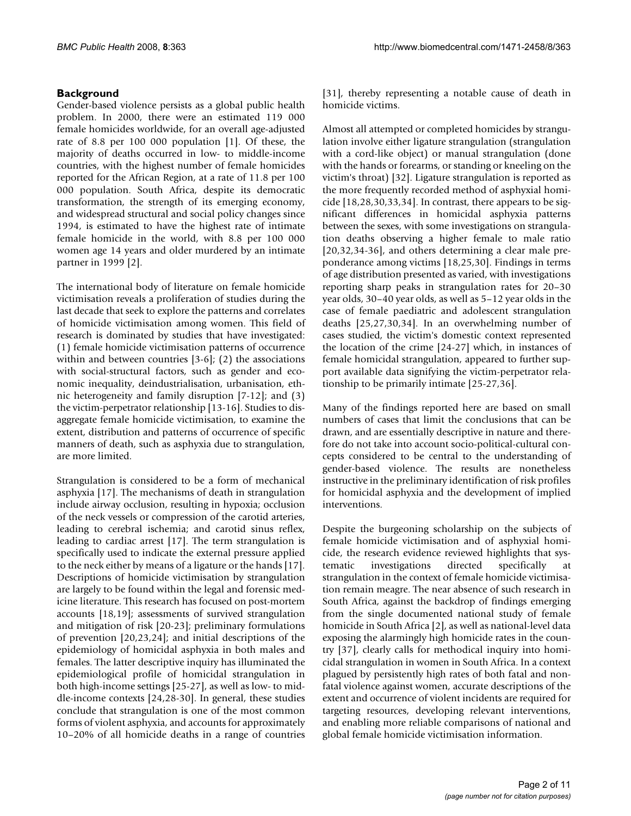## **Background**

Gender-based violence persists as a global public health problem. In 2000, there were an estimated 119 000 female homicides worldwide, for an overall age-adjusted rate of 8.8 per 100 000 population [1]. Of these, the majority of deaths occurred in low- to middle-income countries, with the highest number of female homicides reported for the African Region, at a rate of 11.8 per 100 000 population. South Africa, despite its democratic transformation, the strength of its emerging economy, and widespread structural and social policy changes since 1994, is estimated to have the highest rate of intimate female homicide in the world, with 8.8 per 100 000 women age 14 years and older murdered by an intimate partner in 1999 [2].

The international body of literature on female homicide victimisation reveals a proliferation of studies during the last decade that seek to explore the patterns and correlates of homicide victimisation among women. This field of research is dominated by studies that have investigated: (1) female homicide victimisation patterns of occurrence within and between countries [3-6]; (2) the associations with social-structural factors, such as gender and economic inequality, deindustrialisation, urbanisation, ethnic heterogeneity and family disruption [7-12]; and (3) the victim-perpetrator relationship [13-16]. Studies to disaggregate female homicide victimisation, to examine the extent, distribution and patterns of occurrence of specific manners of death, such as asphyxia due to strangulation, are more limited.

Strangulation is considered to be a form of mechanical asphyxia [17]. The mechanisms of death in strangulation include airway occlusion, resulting in hypoxia; occlusion of the neck vessels or compression of the carotid arteries, leading to cerebral ischemia; and carotid sinus reflex, leading to cardiac arrest [17]. The term strangulation is specifically used to indicate the external pressure applied to the neck either by means of a ligature or the hands [17]. Descriptions of homicide victimisation by strangulation are largely to be found within the legal and forensic medicine literature. This research has focused on post-mortem accounts [18,19]; assessments of survived strangulation and mitigation of risk [20-23]; preliminary formulations of prevention [20,23,24]; and initial descriptions of the epidemiology of homicidal asphyxia in both males and females. The latter descriptive inquiry has illuminated the epidemiological profile of homicidal strangulation in both high-income settings [25-27], as well as low- to middle-income contexts [24,28-30]. In general, these studies conclude that strangulation is one of the most common forms of violent asphyxia, and accounts for approximately 10–20% of all homicide deaths in a range of countries [31], thereby representing a notable cause of death in homicide victims.

Almost all attempted or completed homicides by strangulation involve either ligature strangulation (strangulation with a cord-like object) or manual strangulation (done with the hands or forearms, or standing or kneeling on the victim's throat) [32]. Ligature strangulation is reported as the more frequently recorded method of asphyxial homicide [18,28,30,33,34]. In contrast, there appears to be significant differences in homicidal asphyxia patterns between the sexes, with some investigations on strangulation deaths observing a higher female to male ratio [20,32,34-36], and others determining a clear male preponderance among victims [18,25,30]. Findings in terms of age distribution presented as varied, with investigations reporting sharp peaks in strangulation rates for 20–30 year olds, 30–40 year olds, as well as 5–12 year olds in the case of female paediatric and adolescent strangulation deaths [25,27,30,34]. In an overwhelming number of cases studied, the victim's domestic context represented the location of the crime [24-27] which, in instances of female homicidal strangulation, appeared to further support available data signifying the victim-perpetrator relationship to be primarily intimate [25-27,36].

Many of the findings reported here are based on small numbers of cases that limit the conclusions that can be drawn, and are essentially descriptive in nature and therefore do not take into account socio-political-cultural concepts considered to be central to the understanding of gender-based violence. The results are nonetheless instructive in the preliminary identification of risk profiles for homicidal asphyxia and the development of implied interventions.

Despite the burgeoning scholarship on the subjects of female homicide victimisation and of asphyxial homicide, the research evidence reviewed highlights that systematic investigations directed specifically at strangulation in the context of female homicide victimisation remain meagre. The near absence of such research in South Africa, against the backdrop of findings emerging from the single documented national study of female homicide in South Africa [2], as well as national-level data exposing the alarmingly high homicide rates in the country [37], clearly calls for methodical inquiry into homicidal strangulation in women in South Africa. In a context plagued by persistently high rates of both fatal and nonfatal violence against women, accurate descriptions of the extent and occurrence of violent incidents are required for targeting resources, developing relevant interventions, and enabling more reliable comparisons of national and global female homicide victimisation information.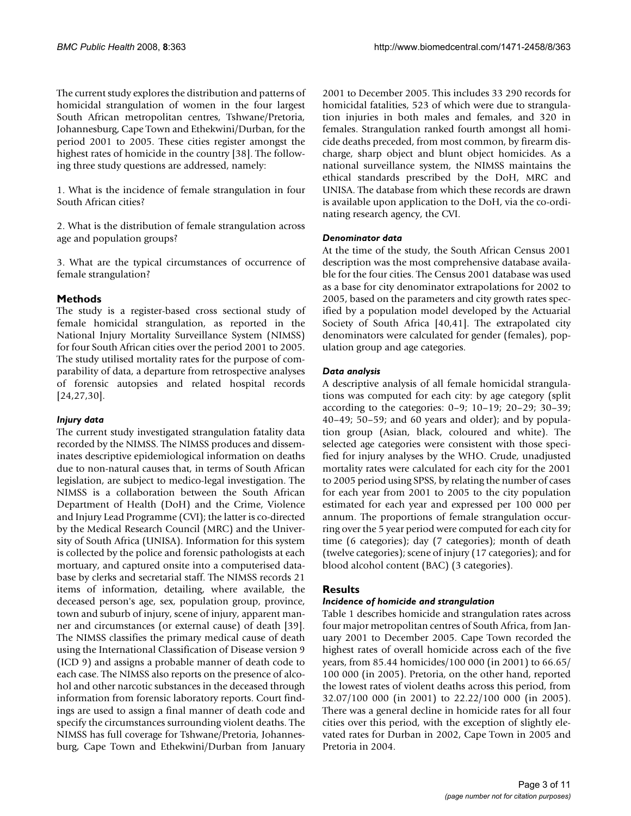The current study explores the distribution and patterns of homicidal strangulation of women in the four largest South African metropolitan centres, Tshwane/Pretoria, Johannesburg, Cape Town and Ethekwini/Durban, for the period 2001 to 2005. These cities register amongst the highest rates of homicide in the country [38]. The following three study questions are addressed, namely:

1. What is the incidence of female strangulation in four South African cities?

2. What is the distribution of female strangulation across age and population groups?

3. What are the typical circumstances of occurrence of female strangulation?

## **Methods**

The study is a register-based cross sectional study of female homicidal strangulation, as reported in the National Injury Mortality Surveillance System (NIMSS) for four South African cities over the period 2001 to 2005. The study utilised mortality rates for the purpose of comparability of data, a departure from retrospective analyses of forensic autopsies and related hospital records [24,27,30].

## *Injury data*

The current study investigated strangulation fatality data recorded by the NIMSS. The NIMSS produces and disseminates descriptive epidemiological information on deaths due to non-natural causes that, in terms of South African legislation, are subject to medico-legal investigation. The NIMSS is a collaboration between the South African Department of Health (DoH) and the Crime, Violence and Injury Lead Programme (CVI); the latter is co-directed by the Medical Research Council (MRC) and the University of South Africa (UNISA). Information for this system is collected by the police and forensic pathologists at each mortuary, and captured onsite into a computerised database by clerks and secretarial staff. The NIMSS records 21 items of information, detailing, where available, the deceased person's age, sex, population group, province, town and suburb of injury, scene of injury, apparent manner and circumstances (or external cause) of death [39]. The NIMSS classifies the primary medical cause of death using the International Classification of Disease version 9 (ICD 9) and assigns a probable manner of death code to each case. The NIMSS also reports on the presence of alcohol and other narcotic substances in the deceased through information from forensic laboratory reports. Court findings are used to assign a final manner of death code and specify the circumstances surrounding violent deaths. The NIMSS has full coverage for Tshwane/Pretoria, Johannesburg, Cape Town and Ethekwini/Durban from January 2001 to December 2005. This includes 33 290 records for homicidal fatalities, 523 of which were due to strangulation injuries in both males and females, and 320 in females. Strangulation ranked fourth amongst all homicide deaths preceded, from most common, by firearm discharge, sharp object and blunt object homicides. As a national surveillance system, the NIMSS maintains the ethical standards prescribed by the DoH, MRC and UNISA. The database from which these records are drawn is available upon application to the DoH, via the co-ordinating research agency, the CVI.

## *Denominator data*

At the time of the study, the South African Census 2001 description was the most comprehensive database available for the four cities. The Census 2001 database was used as a base for city denominator extrapolations for 2002 to 2005, based on the parameters and city growth rates specified by a population model developed by the Actuarial Society of South Africa [40,41]. The extrapolated city denominators were calculated for gender (females), population group and age categories.

## *Data analysis*

A descriptive analysis of all female homicidal strangulations was computed for each city: by age category (split according to the categories: 0–9; 10–19; 20–29; 30–39;  $40-49$ ;  $50-59$ ; and  $60$  years and older); and by population group (Asian, black, coloured and white). The selected age categories were consistent with those specified for injury analyses by the WHO. Crude, unadjusted mortality rates were calculated for each city for the 2001 to 2005 period using SPSS, by relating the number of cases for each year from 2001 to 2005 to the city population estimated for each year and expressed per 100 000 per annum. The proportions of female strangulation occurring over the 5 year period were computed for each city for time (6 categories); day (7 categories); month of death (twelve categories); scene of injury (17 categories); and for blood alcohol content (BAC) (3 categories).

## **Results**

## *Incidence of homicide and strangulation*

Table 1 describes homicide and strangulation rates across four major metropolitan centres of South Africa, from January 2001 to December 2005. Cape Town recorded the highest rates of overall homicide across each of the five years, from 85.44 homicides/100 000 (in 2001) to 66.65/ 100 000 (in 2005). Pretoria, on the other hand, reported the lowest rates of violent deaths across this period, from 32.07/100 000 (in 2001) to 22.22/100 000 (in 2005). There was a general decline in homicide rates for all four cities over this period, with the exception of slightly elevated rates for Durban in 2002, Cape Town in 2005 and Pretoria in 2004.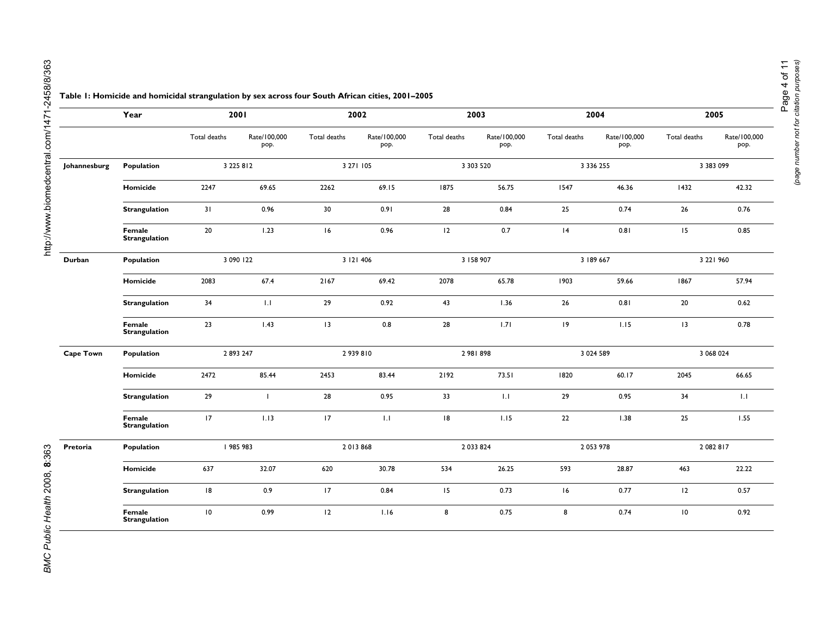|                  |                                | Total deaths | Rate/100,000<br>pop. | Total deaths | Rate/100,000<br>pop. | Total deaths | Rate/100,000<br>pop. | Total deaths | Rate/100,000<br>pop. | Total deaths | Rate/100,000<br>pop. |
|------------------|--------------------------------|--------------|----------------------|--------------|----------------------|--------------|----------------------|--------------|----------------------|--------------|----------------------|
| Johannesburg     | Population                     |              | 3 2 2 5 8 1 2        |              | 3 27 1 105           |              | 3 303 520            |              | 3 3 3 6 2 5 5        |              | 3 383 099            |
|                  | Homicide                       | 2247         | 69.65                | 2262         | 69.15                | 1875         | 56.75                | 1547         | 46.36                | 1432         | 42.32                |
|                  | Strangulation                  | 31           | 0.96                 | 30           | 0.91                 | 28           | 0.84                 | 25           | 0.74                 | 26           | 0.76                 |
|                  | Female<br><b>Strangulation</b> | 20           | 1.23                 | 16           | 0.96                 | 12           | 0.7                  | 4            | 0.81                 | 15           | 0.85                 |
| Durban           | Population                     | 3 090 122    |                      | 3 121 406    |                      | 3 158 907    |                      | 3 189 667    |                      | 3 221 960    |                      |
|                  | Homicide                       | 2083         | 67.4                 | 2167         | 69.42                | 2078         | 65.78                | 1903         | 59.66                | 1867         | 57.94                |
|                  | <b>Strangulation</b>           | 34           | 1.1                  | 29           | 0.92                 | 43           | 1.36                 | 26           | 0.81                 | 20           | 0.62                 |
|                  | Female<br>Strangulation        | 23           | 1.43                 | 13           | 0.8                  | 28           | 1.71                 | $ 9\rangle$  | 1.15                 | 13           | 0.78                 |
| <b>Cape Town</b> | Population                     | 2893247      |                      | 2939810      |                      | 2 981 898    |                      | 3 0 24 5 89  |                      | 3 068 024    |                      |
|                  | Homicide                       | 2472         | 85.44                | 2453         | 83.44                | 2192         | 73.51                | 1820         | 60.17                | 2045         | 66.65                |
|                  | <b>Strangulation</b>           | 29           | $\mathbf{I}$         | 28           | 0.95                 | 33           | 1.1                  | 29           | 0.95                 | 34           | 1.1                  |
|                  | Female<br><b>Strangulation</b> | 17           | 1.13                 | 17           | 1.1                  | 18           | 1.15                 | 22           | 1.38                 | 25           | 1.55                 |
| Pretoria         | Population                     |              | 985 983              |              | 2013868              |              | 2 033 824            |              | 2 053 978            |              | 2 082 817            |
|                  | Homicide                       | 637          | 32.07                | 620          | 30.78                | 534          | 26.25                | 593          | 28.87                | 463          | 22.22                |
|                  | Strangulation                  | 18           | 0.9                  | 17           | 0.84                 | 15           | 0.73                 | 16           | 0.77                 | 12           | 0.57                 |
|                  | Female<br><b>Strangulation</b> | 10           | 0.99                 | 12           | 1.16                 | 8            | 0.75                 | 8            | 0.74                 | 10           | 0.92                 |

**Year 2001 2002 2003 2004 2005**

#### **Table 1: Homicide and homicidal strangulation by sex across four South African cities, 2001–2005**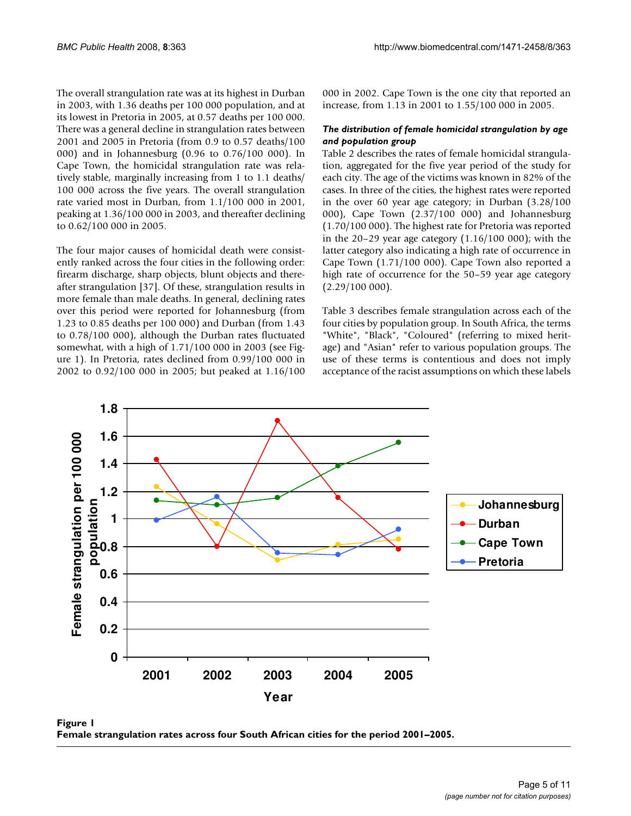The overall strangulation rate was at its highest in Durban in 2003, with 1.36 deaths per 100 000 population, and at its lowest in Pretoria in 2005, at 0.57 deaths per 100 000. There was a general decline in strangulation rates between 2001 and 2005 in Pretoria (from 0.9 to 0.57 deaths/100 000) and in Johannesburg (0.96 to 0.76/100 000). In Cape Town, the homicidal strangulation rate was relatively stable, marginally increasing from 1 to 1.1 deaths/ 100 000 across the five years. The overall strangulation rate varied most in Durban, from 1.1/100 000 in 2001, peaking at 1.36/100 000 in 2003, and thereafter declining to 0.62/100 000 in 2005.

The four major causes of homicidal death were consistently ranked across the four cities in the following order: firearm discharge, sharp objects, blunt objects and thereafter strangulation [37]. Of these, strangulation results in more female than male deaths. In general, declining rates over this period were reported for Johannesburg (from 1.23 to 0.85 deaths per 100 000) and Durban (from 1.43 to 0.78/100 000), although the Durban rates fluctuated somewhat, with a high of 1.71/100 000 in 2003 (see Figure 1). In Pretoria, rates declined from 0.99/100 000 in 2002 to 0.92/100 000 in 2005; but peaked at 1.16/100 000 in 2002. Cape Town is the one city that reported an increase, from 1.13 in 2001 to 1.55/100 000 in 2005.

## *The distribution of female homicidal strangulation by age and population group*

Table 2 describes the rates of female homicidal strangulation, aggregated for the five year period of the study for each city. The age of the victims was known in 82% of the cases. In three of the cities, the highest rates were reported in the over 60 year age category; in Durban (3.28/100 000), Cape Town (2.37/100 000) and Johannesburg (1.70/100 000). The highest rate for Pretoria was reported in the 20–29 year age category (1.16/100 000); with the latter category also indicating a high rate of occurrence in Cape Town (1.71/100 000). Cape Town also reported a high rate of occurrence for the 50–59 year age category  $(2.29/100 000)$ .

Table 3 describes female strangulation across each of the four cities by population group. In South Africa, the terms "White", "Black", "Coloured" (referring to mixed heritage) and "Asian" refer to various population groups. The use of these terms is contentious and does not imply acceptance of the racist assumptions on which these labels



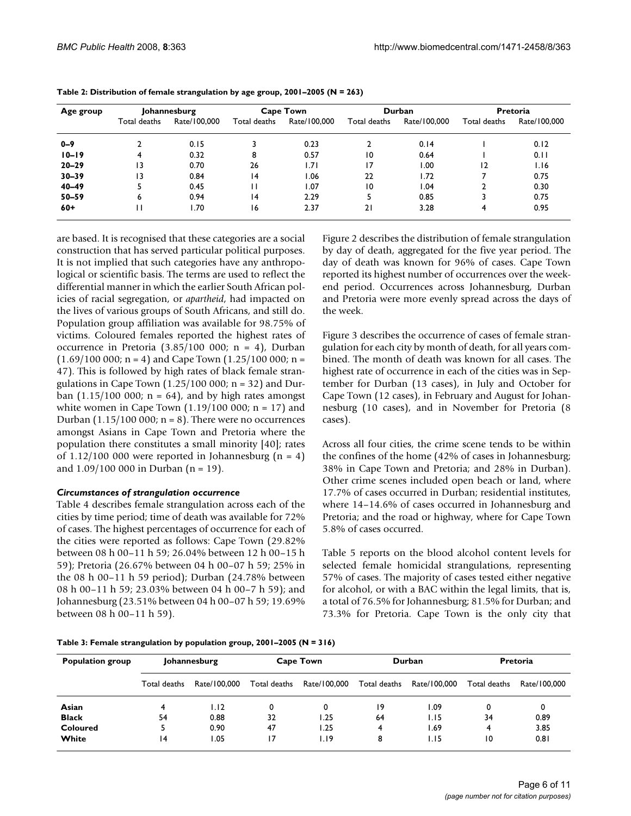| Age group | Johannesburg |              | <b>Cape Town</b> |              | Durban          |              | <b>Pretoria</b> |              |
|-----------|--------------|--------------|------------------|--------------|-----------------|--------------|-----------------|--------------|
|           | Total deaths | Rate/100.000 | Total deaths     | Rate/100,000 | Total deaths    | Rate/100.000 | Total deaths    | Rate/100.000 |
| $0 - 9$   |              | 0.15         |                  | 0.23         |                 | 0.14         |                 | 0.12         |
| $10 - 19$ | 4            | 0.32         | 8                | 0.57         | $\overline{0}$  | 0.64         |                 | 0.11         |
| $20 - 29$ | ۱3           | 0.70         | 26               | 1.71         | 17              | 1.00         | 12              | 1.16         |
| $30 - 39$ | 13           | 0.84         | 4                | 1.06         | 22              | 1.72         |                 | 0.75         |
| $40 - 49$ |              | 0.45         | н                | 1.07         | $\overline{10}$ | 1.04         | 2               | 0.30         |
| $50 - 59$ | 6            | 0.94         | 14               | 2.29         |                 | 0.85         | 3               | 0.75         |
| $60+$     | П            | l.70         | 16               | 2.37         | 21              | 3.28         | 4               | 0.95         |

| Table 2: Distribution of female strangulation by age group, $2001-2005 (N = 263)$ |  |  |  |  |
|-----------------------------------------------------------------------------------|--|--|--|--|
|-----------------------------------------------------------------------------------|--|--|--|--|

are based. It is recognised that these categories are a social construction that has served particular political purposes. It is not implied that such categories have any anthropological or scientific basis. The terms are used to reflect the differential manner in which the earlier South African policies of racial segregation, or *apartheid*, had impacted on the lives of various groups of South Africans, and still do. Population group affiliation was available for 98.75% of victims. Coloured females reported the highest rates of occurrence in Pretoria  $(3.85/100 000; n = 4)$ , Durban  $(1.69/100 000; n = 4)$  and Cape Town  $(1.25/100 000; n =$ 47). This is followed by high rates of black female strangulations in Cape Town  $(1.25/100 000; n = 32)$  and Durban  $(1.15/100 000; n = 64)$ , and by high rates amongst white women in Cape Town  $(1.19/100 000; n = 17)$  and Durban (1.15/100 000;  $n = 8$ ). There were no occurrences amongst Asians in Cape Town and Pretoria where the population there constitutes a small minority [40]; rates of 1.12/100 000 were reported in Johannesburg ( $n = 4$ ) and  $1.09/100 000$  in Durban (n = 19).

### *Circumstances of strangulation occurrence*

Table 4 describes female strangulation across each of the cities by time period; time of death was available for 72% of cases. The highest percentages of occurrence for each of the cities were reported as follows: Cape Town (29.82% between 08 h 00–11 h 59; 26.04% between 12 h 00–15 h 59); Pretoria (26.67% between 04 h 00–07 h 59; 25% in the 08 h 00–11 h 59 period); Durban (24.78% between 08 h 00–11 h 59; 23.03% between 04 h 00–7 h 59); and Johannesburg (23.51% between 04 h 00–07 h 59; 19.69% between 08 h 00–11 h 59).

Figure 2 describes the distribution of female strangulation by day of death, aggregated for the five year period. The day of death was known for 96% of cases. Cape Town reported its highest number of occurrences over the weekend period. Occurrences across Johannesburg, Durban and Pretoria were more evenly spread across the days of the week.

Figure 3 describes the occurrence of cases of female strangulation for each city by month of death, for all years combined. The month of death was known for all cases. The highest rate of occurrence in each of the cities was in September for Durban (13 cases), in July and October for Cape Town (12 cases), in February and August for Johannesburg (10 cases), and in November for Pretoria (8 cases).

Across all four cities, the crime scene tends to be within the confines of the home (42% of cases in Johannesburg; 38% in Cape Town and Pretoria; and 28% in Durban). Other crime scenes included open beach or land, where 17.7% of cases occurred in Durban; residential institutes, where 14–14.6% of cases occurred in Johannesburg and Pretoria; and the road or highway, where for Cape Town 5.8% of cases occurred.

Table 5 reports on the blood alcohol content levels for selected female homicidal strangulations, representing 57% of cases. The majority of cases tested either negative for alcohol, or with a BAC within the legal limits, that is, a total of 76.5% for Johannesburg; 81.5% for Durban; and 73.3% for Pretoria. Cape Town is the only city that

| Table 3: Female strangulation by population group, 2001-2005 ( $N = 316$ ) |  |
|----------------------------------------------------------------------------|--|
|----------------------------------------------------------------------------|--|

| <b>Population group</b> | Johannesburg    |              | <b>Cape Town</b> |              | <b>Durban</b> |              | <b>Pretoria</b> |              |
|-------------------------|-----------------|--------------|------------------|--------------|---------------|--------------|-----------------|--------------|
|                         | Total deaths    | Rate/100.000 | Total deaths     | Rate/100.000 | Total deaths  | Rate/100.000 | Total deaths    | Rate/100.000 |
| Asian                   |                 | 1.12         | 0                | 0            | 19            | 09. ا        | 0               | 0            |
| <b>Black</b>            | 54              | 0.88         | 32               | 1.25         | 64            | I.I5         | 34              | 0.89         |
| Coloured                |                 | 0.90         | 47               | 1.25         | 4             | 1.69         | 4               | 3.85         |
| White                   | $\overline{14}$ | .05          | 17               | 1.19         | 8             | I.I5         | 10              | 0.81         |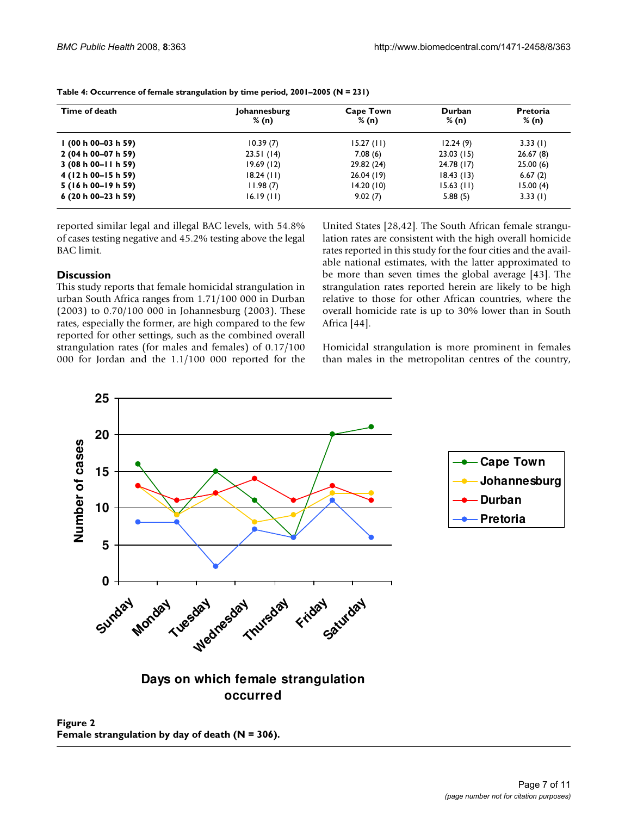| Time of death          | Johannesburg<br>% (n) | <b>Cape Town</b><br>% (n) | Durban<br>% (n) | <b>Pretoria</b><br>% (n) |
|------------------------|-----------------------|---------------------------|-----------------|--------------------------|
| I (00 h 00-03 h 59)    | 10.39(7)              | 15.27(11)                 | 12.24(9)        | 3.33(1)                  |
| 2 (04 h 00-07 h 59)    | 23.51(14)             | 7.08(6)                   | 23.03(15)       | 26.67(8)                 |
| $3(08 h 00 - 11 h 59)$ | 19.69(12)             | 29.82 (24)                | 24.78(17)       | 25.00(6)                 |
| 4 (12 h 00–15 h 59)    | $18.24$ (11)          | 26.04 (19)                | 18.43(13)       | 6.67(2)                  |
| 5 (16 h 00–19 h 59)    | 11.98(7)              | 14.20(10)                 | $15.63$ (11)    | 15.00(4)                 |
| $6(20 h 00-23 h 59)$   | 16.19(11)             | 9.02(7)                   | 5.88(5)         | 3.33(1)                  |

**Table 4: Occurrence of female strangulation by time period, 2001–2005 (N = 231)**

reported similar legal and illegal BAC levels, with 54.8% of cases testing negative and 45.2% testing above the legal BAC limit.

## **Discussion**

This study reports that female homicidal strangulation in urban South Africa ranges from 1.71/100 000 in Durban (2003) to 0.70/100 000 in Johannesburg (2003). These rates, especially the former, are high compared to the few reported for other settings, such as the combined overall strangulation rates (for males and females) of 0.17/100 000 for Jordan and the 1.1/100 000 reported for the United States [28,42]. The South African female strangulation rates are consistent with the high overall homicide rates reported in this study for the four cities and the available national estimates, with the latter approximated to be more than seven times the global average [43]. The strangulation rates reported herein are likely to be high relative to those for other African countries, where the overall homicide rate is up to 30% lower than in South Africa [44].

Homicidal strangulation is more prominent in females than males in the metropolitan centres of the country,



**Days on which female strangulation occurred**

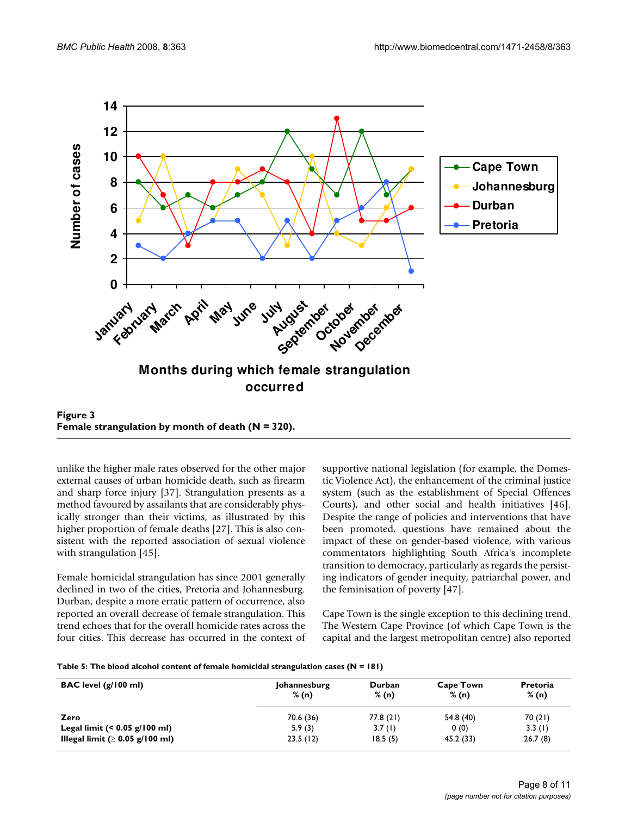

Figure 3 **Female strangulation by month of death (N = 320).**

unlike the higher male rates observed for the other major external causes of urban homicide death, such as firearm and sharp force injury [37]. Strangulation presents as a method favoured by assailants that are considerably physically stronger than their victims, as illustrated by this higher proportion of female deaths [27]. This is also consistent with the reported association of sexual violence with strangulation [45].

Female homicidal strangulation has since 2001 generally declined in two of the cities, Pretoria and Johannesburg. Durban, despite a more erratic pattern of occurrence, also reported an overall decrease of female strangulation. This trend echoes that for the overall homicide rates across the four cities. This decrease has occurred in the context of supportive national legislation (for example, the Domestic Violence Act), the enhancement of the criminal justice system (such as the establishment of Special Offences Courts), and other social and health initiatives [46]. Despite the range of policies and interventions that have been promoted, questions have remained about the impact of these on gender-based violence, with various commentators highlighting South Africa's incomplete transition to democracy, particularly as regards the persisting indicators of gender inequity, patriarchal power, and the feminisation of poverty [47].

Cape Town is the single exception to this declining trend. The Western Cape Province (of which Cape Town is the capital and the largest metropolitan centre) also reported

| Table 5: The blood alcohol content of female homicidal strangulation cases (N = 181) |  |  |
|--------------------------------------------------------------------------------------|--|--|
|--------------------------------------------------------------------------------------|--|--|

| $\mathsf{BAC}$ level $\left(\frac{g}{100}\right)$ ml | Johannesburg<br>% (n) | Durban<br>% (n) | <b>Cape Town</b><br>% (n) | Pretoria<br>% (n) |
|------------------------------------------------------|-----------------------|-----------------|---------------------------|-------------------|
| Zero                                                 | 70.6 (36)             | 77.8(21)        | 54.8 (40)                 | 70 (21)           |
| Legal limit $(0.05 \text{ g}/100 \text{ ml})$        | 5.9(3)                | 3.7(1)          | 0(0)                      | 3.3(1)            |
| Illegal limit ( $\geq 0.05$ g/100 ml)                | 23.5(12)              | 18.5(5)         | 45.2 (33)                 | 26.7(8)           |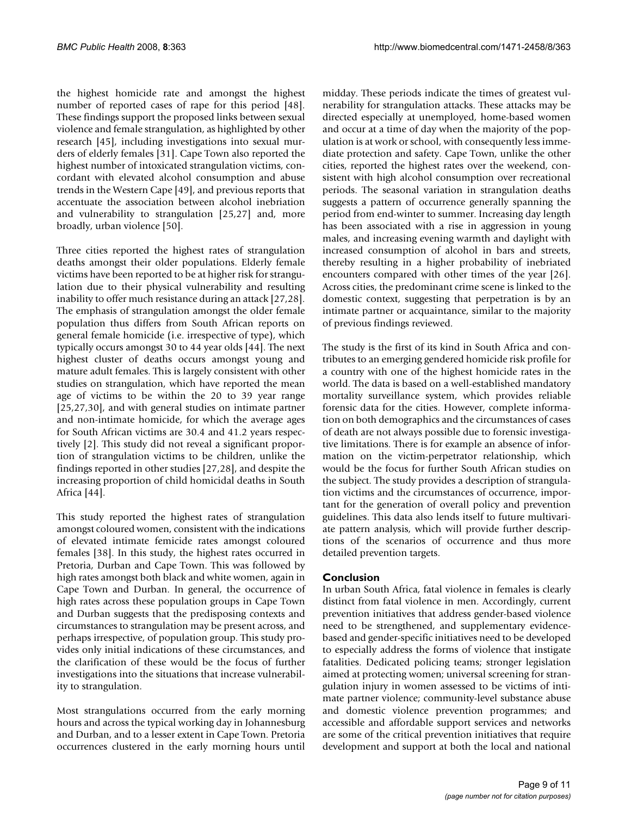the highest homicide rate and amongst the highest number of reported cases of rape for this period [48]. These findings support the proposed links between sexual violence and female strangulation, as highlighted by other research [45], including investigations into sexual murders of elderly females [31]. Cape Town also reported the highest number of intoxicated strangulation victims, concordant with elevated alcohol consumption and abuse trends in the Western Cape [49], and previous reports that accentuate the association between alcohol inebriation and vulnerability to strangulation [25,27] and, more broadly, urban violence [50].

Three cities reported the highest rates of strangulation deaths amongst their older populations. Elderly female victims have been reported to be at higher risk for strangulation due to their physical vulnerability and resulting inability to offer much resistance during an attack [27,28]. The emphasis of strangulation amongst the older female population thus differs from South African reports on general female homicide (i.e. irrespective of type), which typically occurs amongst 30 to 44 year olds [44]. The next highest cluster of deaths occurs amongst young and mature adult females. This is largely consistent with other studies on strangulation, which have reported the mean age of victims to be within the 20 to 39 year range [25,27,30], and with general studies on intimate partner and non-intimate homicide, for which the average ages for South African victims are 30.4 and 41.2 years respectively [2]. This study did not reveal a significant proportion of strangulation victims to be children, unlike the findings reported in other studies [27,28], and despite the increasing proportion of child homicidal deaths in South Africa [44].

This study reported the highest rates of strangulation amongst coloured women, consistent with the indications of elevated intimate femicide rates amongst coloured females [38]. In this study, the highest rates occurred in Pretoria, Durban and Cape Town. This was followed by high rates amongst both black and white women, again in Cape Town and Durban. In general, the occurrence of high rates across these population groups in Cape Town and Durban suggests that the predisposing contexts and circumstances to strangulation may be present across, and perhaps irrespective, of population group. This study provides only initial indications of these circumstances, and the clarification of these would be the focus of further investigations into the situations that increase vulnerability to strangulation.

Most strangulations occurred from the early morning hours and across the typical working day in Johannesburg and Durban, and to a lesser extent in Cape Town. Pretoria occurrences clustered in the early morning hours until

midday. These periods indicate the times of greatest vulnerability for strangulation attacks. These attacks may be directed especially at unemployed, home-based women and occur at a time of day when the majority of the population is at work or school, with consequently less immediate protection and safety. Cape Town, unlike the other cities, reported the highest rates over the weekend, consistent with high alcohol consumption over recreational periods. The seasonal variation in strangulation deaths suggests a pattern of occurrence generally spanning the period from end-winter to summer. Increasing day length has been associated with a rise in aggression in young males, and increasing evening warmth and daylight with increased consumption of alcohol in bars and streets, thereby resulting in a higher probability of inebriated encounters compared with other times of the year [26]. Across cities, the predominant crime scene is linked to the domestic context, suggesting that perpetration is by an intimate partner or acquaintance, similar to the majority of previous findings reviewed.

The study is the first of its kind in South Africa and contributes to an emerging gendered homicide risk profile for a country with one of the highest homicide rates in the world. The data is based on a well-established mandatory mortality surveillance system, which provides reliable forensic data for the cities. However, complete information on both demographics and the circumstances of cases of death are not always possible due to forensic investigative limitations. There is for example an absence of information on the victim-perpetrator relationship, which would be the focus for further South African studies on the subject. The study provides a description of strangulation victims and the circumstances of occurrence, important for the generation of overall policy and prevention guidelines. This data also lends itself to future multivariate pattern analysis, which will provide further descriptions of the scenarios of occurrence and thus more detailed prevention targets.

## **Conclusion**

In urban South Africa, fatal violence in females is clearly distinct from fatal violence in men. Accordingly, current prevention initiatives that address gender-based violence need to be strengthened, and supplementary evidencebased and gender-specific initiatives need to be developed to especially address the forms of violence that instigate fatalities. Dedicated policing teams; stronger legislation aimed at protecting women; universal screening for strangulation injury in women assessed to be victims of intimate partner violence; community-level substance abuse and domestic violence prevention programmes; and accessible and affordable support services and networks are some of the critical prevention initiatives that require development and support at both the local and national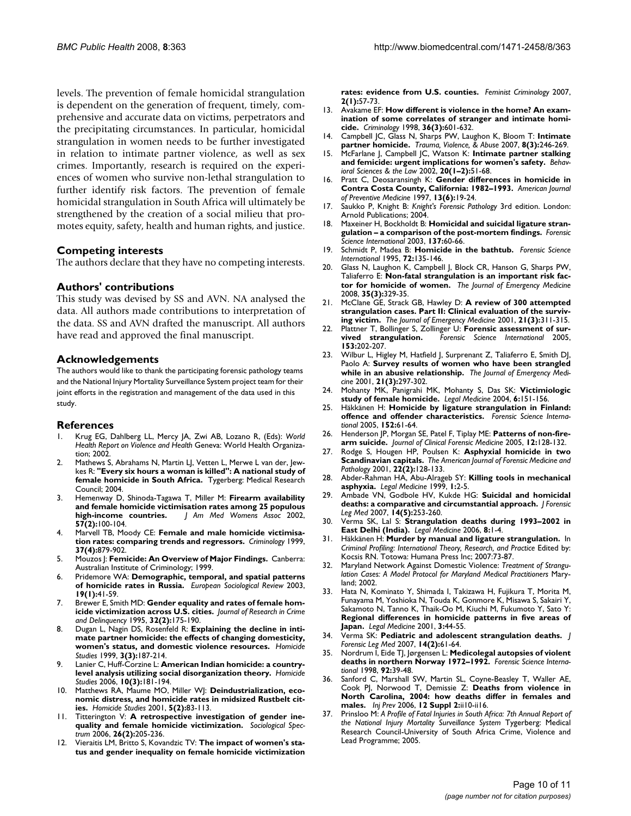levels. The prevention of female homicidal strangulation is dependent on the generation of frequent, timely, comprehensive and accurate data on victims, perpetrators and the precipitating circumstances. In particular, homicidal strangulation in women needs to be further investigated in relation to intimate partner violence, as well as sex crimes. Importantly, research is required on the experiences of women who survive non-lethal strangulation to further identify risk factors. The prevention of female homicidal strangulation in South Africa will ultimately be strengthened by the creation of a social milieu that promotes equity, safety, health and human rights, and justice.

#### **Competing interests**

The authors declare that they have no competing interests.

#### **Authors' contributions**

This study was devised by SS and AVN. NA analysed the data. All authors made contributions to interpretation of the data. SS and AVN drafted the manuscript. All authors have read and approved the final manuscript.

#### **Acknowledgements**

The authors would like to thank the participating forensic pathology teams and the National Injury Mortality Surveillance System project team for their joint efforts in the registration and management of the data used in this study.

#### **References**

- 1. Krug EG, Dahlberg LL, Mercy JA, Zwi AB, Lozano R, (Eds): *World Health Report on Violence and Health* Geneva: World Health Organization; 2002.
- 2. Mathews S, Abrahams N, Martin LJ, Vetten L, Merwe L van der, Jewkes R: **"Every six hours a woman is killed": A national study of female homicide in South Africa.** Tygerberg: Medical Research Council; 2004.
- 3. Hemenway D, Shinoda-Tagawa T, Miller M: **[Firearm availability](http://www.ncbi.nlm.nih.gov/entrez/query.fcgi?cmd=Retrieve&db=PubMed&dopt=Abstract&list_uids=11991417) [and female homicide victimisation rates among 25 populous](http://www.ncbi.nlm.nih.gov/entrez/query.fcgi?cmd=Retrieve&db=PubMed&dopt=Abstract&list_uids=11991417) [high-income countries.](http://www.ncbi.nlm.nih.gov/entrez/query.fcgi?cmd=Retrieve&db=PubMed&dopt=Abstract&list_uids=11991417)** *J Am Med Womens Assoc* 2002, **57(2):**100-104.
- 4. Marvell TB, Moody CE: **Female and male homicide victimisation rates: comparing trends and regressors.** *Criminology* 1999, **37(4):**879-902.
- 5. Mouzos J: **Femicide: An Overview of Major Findings.** Canberra: Australian Institute of Criminology; 1999.
- 6. Pridemore WA: **Demographic, temporal, and spatial patterns of homicide rates in Russia.** *European Sociological Review* 2003, **19(1):**41-59.
- 7. Brewer E, Smith MD: **Gender equality and rates of female homicide victimization across U.S. cities.** *Journal of Research in Crime and Delinquency* 1995, **32(2):**175-190.
- 8. Dugan L, Nagin DS, Rosenfeld R: **Explaining the decline in intimate partner homicide: the effects of changing domesticity, women's status, and domestic violence resources.** *Homicide Studies* 1999, **3(3):**187-214.
- 9. Lanier C, Huff-Corzine L: **American Indian homicide: a countrylevel analysis utilizing social disorganization theory.** *Homicide Studies* 2006, **10(3):**181-194.
- 10. Matthews RA, Maume MO, Miller WJ: **Deindustrialization, economic distress, and homicide rates in midsized Rustbelt cities.** *Homicide Studies* 2001, **5(2):**83-113.
- 11. Titterington V: **A retrospective investigation of gender inequality and female homicide victimization.** *Sociological Spectrum* 2006, **26(2):**205-236.
- 12. Vieraitis LM, Britto S, Kovandzic TV: **The impact of women's status and gender inequality on female homicide victimization**

**rates: evidence from U.S. counties.** *Feminist Criminology* 2007, **2(1):**57-73.

- 13. Avakame EF: **How different is violence in the home? An examination of some correlates of stranger and intimate homicide.** *Criminology* 1998, **36(3):**601-632.
- 14. Campbell JC, Glass N, Sharps PW, Laughon K, Bloom T: **Intimate partner homicide.** *Trauma, Violence, & Abuse* 2007, **8(3):**246-269.
- 15. McFarlane J, Campbell JC, Watson K: **[Intimate partner stalking](http://www.ncbi.nlm.nih.gov/entrez/query.fcgi?cmd=Retrieve&db=PubMed&dopt=Abstract&list_uids=12030246) [and femicide: urgent implications for women's safety.](http://www.ncbi.nlm.nih.gov/entrez/query.fcgi?cmd=Retrieve&db=PubMed&dopt=Abstract&list_uids=12030246)** *Behavioral Sciences & the Law* 2002, **20(1–2):**51-68.
- 16. Pratt C, Deosaransingh K: **[Gender differences in homicide in](http://www.ncbi.nlm.nih.gov/entrez/query.fcgi?cmd=Retrieve&db=PubMed&dopt=Abstract&list_uids=9455589) [Contra Costa County, California: 1982–1993.](http://www.ncbi.nlm.nih.gov/entrez/query.fcgi?cmd=Retrieve&db=PubMed&dopt=Abstract&list_uids=9455589)** *American Journal of Preventive Medicine* 1997, **13(6):**19-24.
- 17. Saukko P, Knight B: *Knight's Forensic Pathology* 3rd edition. London: Arnold Publications; 2004.
- 18. Maxeiner H, Bockholdt B: **[Homicidal and suicidal ligature stran](http://www.ncbi.nlm.nih.gov/entrez/query.fcgi?cmd=Retrieve&db=PubMed&dopt=Abstract&list_uids=14550616)[gulation – a comparison of the post-mortem findings.](http://www.ncbi.nlm.nih.gov/entrez/query.fcgi?cmd=Retrieve&db=PubMed&dopt=Abstract&list_uids=14550616)** *Forensic Science International* 2003, **137:**60-66.
- 19. Schmidt P, Madea B: **[Homicide in the bathtub.](http://www.ncbi.nlm.nih.gov/entrez/query.fcgi?cmd=Retrieve&db=PubMed&dopt=Abstract&list_uids=7750869)** *Forensic Science International* 1995, **72:**135-146.
- 20. Glass N, Laughon K, Campbell J, Block CR, Hanson G, Sharps PW, Taliaferro E: **[Non-fatal strangulation is an important risk fac](http://www.ncbi.nlm.nih.gov/entrez/query.fcgi?cmd=Retrieve&db=PubMed&dopt=Abstract&list_uids=17961956)[tor for homicide of women.](http://www.ncbi.nlm.nih.gov/entrez/query.fcgi?cmd=Retrieve&db=PubMed&dopt=Abstract&list_uids=17961956)** *The Journal of Emergency Medicine* 2008, **35(3):**329-35.
- 21. McClane GE, Strack GB, Hawley D: **[A review of 300 attempted](http://www.ncbi.nlm.nih.gov/entrez/query.fcgi?cmd=Retrieve&db=PubMed&dopt=Abstract&list_uids=11604295) [strangulation cases. Part II: Clinical evaluation of the surviv](http://www.ncbi.nlm.nih.gov/entrez/query.fcgi?cmd=Retrieve&db=PubMed&dopt=Abstract&list_uids=11604295)[ing victim.](http://www.ncbi.nlm.nih.gov/entrez/query.fcgi?cmd=Retrieve&db=PubMed&dopt=Abstract&list_uids=11604295)** *The Journal of Emergency Medicine* 2001, **21(3):**311-315.
- 22. Plattner T, Bollinger S, Zollinger U: **[Forensic assessment of sur](http://www.ncbi.nlm.nih.gov/entrez/query.fcgi?cmd=Retrieve&db=PubMed&dopt=Abstract&list_uids=16139111)[vived strangulation.](http://www.ncbi.nlm.nih.gov/entrez/query.fcgi?cmd=Retrieve&db=PubMed&dopt=Abstract&list_uids=16139111)** *Forensic Science International* 2005, **153:**202-207.
- 23. Wilbur L, Higley M, Hatfield J, Surprenant Z, Taliaferro E, Smith DJ, Paolo A: **[Survey results of women who have been strangled](http://www.ncbi.nlm.nih.gov/entrez/query.fcgi?cmd=Retrieve&db=PubMed&dopt=Abstract&list_uids=11604293) [while in an abusive relationship.](http://www.ncbi.nlm.nih.gov/entrez/query.fcgi?cmd=Retrieve&db=PubMed&dopt=Abstract&list_uids=11604293)** *The Journal of Emergency Medicine* 2001, **21(3):**297-302.
- 24. Mohanty MK, Panigrahi MK, Mohanty S, Das SK: **[Victimiologic](http://www.ncbi.nlm.nih.gov/entrez/query.fcgi?cmd=Retrieve&db=PubMed&dopt=Abstract&list_uids=15231283) [study of female homicide.](http://www.ncbi.nlm.nih.gov/entrez/query.fcgi?cmd=Retrieve&db=PubMed&dopt=Abstract&list_uids=15231283)** *Legal Medicine* 2004, **6:**151-156.
- 25. Häkkänen H: **[Homicide by ligature strangulation in Finland:](http://www.ncbi.nlm.nih.gov/entrez/query.fcgi?cmd=Retrieve&db=PubMed&dopt=Abstract&list_uids=15939176) [offence and offender characteristics.](http://www.ncbi.nlm.nih.gov/entrez/query.fcgi?cmd=Retrieve&db=PubMed&dopt=Abstract&list_uids=15939176)** *Forensic Science International* 2005, **152:**61-64.
- 26. Henderson JP, Morgan SE, Patel F, Tiplay ME: **[Patterns of non-fire](http://www.ncbi.nlm.nih.gov/entrez/query.fcgi?cmd=Retrieve&db=PubMed&dopt=Abstract&list_uids=15914306)[arm suicide.](http://www.ncbi.nlm.nih.gov/entrez/query.fcgi?cmd=Retrieve&db=PubMed&dopt=Abstract&list_uids=15914306)** *Journal of Clinical Forensic Medicine* 2005, **12:**128-132.
- 27. Rodge S, Hougen HP, Poulsen K: **Asphyxial homicide in two Scandinavian capitals.** *The American Journal of Forensic Medicine and Pathology* 2001, **22(2):**128-133.
- 28. Abder-Rahman HA, Abu-Alrageb SY: **[Killing tools in mechanical](http://www.ncbi.nlm.nih.gov/entrez/query.fcgi?cmd=Retrieve&db=PubMed&dopt=Abstract&list_uids=12935506) [asphyxia.](http://www.ncbi.nlm.nih.gov/entrez/query.fcgi?cmd=Retrieve&db=PubMed&dopt=Abstract&list_uids=12935506)** *Legal Medicine* 1999, **1:**2-5.
- 29. Ambade VN, Godbole HV, Kukde HG: **[Suicidal and homicidal](http://www.ncbi.nlm.nih.gov/entrez/query.fcgi?cmd=Retrieve&db=PubMed&dopt=Abstract&list_uids=17052941) [deaths: a comparative and circumstantial approach.](http://www.ncbi.nlm.nih.gov/entrez/query.fcgi?cmd=Retrieve&db=PubMed&dopt=Abstract&list_uids=17052941)** *J Forensic Leg Med* 2007, **14(5):**253-260.
- 30. Verma SK, Lal S: **[Strangulation deaths during 1993–2002 in](http://www.ncbi.nlm.nih.gov/entrez/query.fcgi?cmd=Retrieve&db=PubMed&dopt=Abstract&list_uids=16054855) [East Delhi \(India\).](http://www.ncbi.nlm.nih.gov/entrez/query.fcgi?cmd=Retrieve&db=PubMed&dopt=Abstract&list_uids=16054855)** *Legal Medicine* 2006, **8:**1-4.
- 31. Häkkänen H: **Murder by manual and ligature strangulation.** In *Criminal Profiling: International Theory, Research, and Practice* Edited by: Kocsis RN. Totowa: Humana Press Inc; 2007:73-87.
- 32. Maryland Network Against Domestic Violence: *Treatment of Strangulation Cases: A Model Protocol for Maryland Medical Practitioners* Maryland; 2002.
- 33. Hata N, Kominato Y, Shimada I, Takizawa H, Fujikura T, Morita M, Funayama M, Yoshioka N, Touda K, Gonmore K, Misawa S, Sakairi Y, Sakamoto N, Tanno K, Thaik-Oo M, Kiuchi M, Fukumoto Y, Sato Y: **[Regional differences in homicide patterns in five areas of](http://www.ncbi.nlm.nih.gov/entrez/query.fcgi?cmd=Retrieve&db=PubMed&dopt=Abstract&list_uids=12935732) [Japan.](http://www.ncbi.nlm.nih.gov/entrez/query.fcgi?cmd=Retrieve&db=PubMed&dopt=Abstract&list_uids=12935732)** *Legal Medicine* 2001, **3:**44-55.
- 34. Verma SK: **[Pediatric and adolescent strangulation deaths.](http://www.ncbi.nlm.nih.gov/entrez/query.fcgi?cmd=Retrieve&db=PubMed&dopt=Abstract&list_uids=17650549)** *J Forensic Leg Med* 2007, **14(2):**61-64.
- 35. Nordrum I, Eide TJ, Jørgensen L: **[Medicolegal autopsies of violent](http://www.ncbi.nlm.nih.gov/entrez/query.fcgi?cmd=Retrieve&db=PubMed&dopt=Abstract&list_uids=9627974) [deaths in northern Norway 1972–1992.](http://www.ncbi.nlm.nih.gov/entrez/query.fcgi?cmd=Retrieve&db=PubMed&dopt=Abstract&list_uids=9627974)** *Forensic Science International* 1998, **92:**39-48.
- 36. Sanford C, Marshall SW, Martin SL, Coyne-Beasley T, Waller AE, Cook PJ, Norwood T, Demissie Z: **[Deaths from violence in](http://www.ncbi.nlm.nih.gov/entrez/query.fcgi?cmd=Retrieve&db=PubMed&dopt=Abstract&list_uids=17170164) [North Carolina, 2004: how deaths differ in females and](http://www.ncbi.nlm.nih.gov/entrez/query.fcgi?cmd=Retrieve&db=PubMed&dopt=Abstract&list_uids=17170164) [males.](http://www.ncbi.nlm.nih.gov/entrez/query.fcgi?cmd=Retrieve&db=PubMed&dopt=Abstract&list_uids=17170164)** *Inj Prev* 2006, **12 Suppl 2:**ii10-ii16.
- 37. Prinsloo M: *A Profile of Fatal Injuries in South Africa: 7th Annual Report of the National Injury Mortality Surveillance System* Tygerberg: Medical Research Council-University of South Africa Crime, Violence and Lead Programme; 2005.